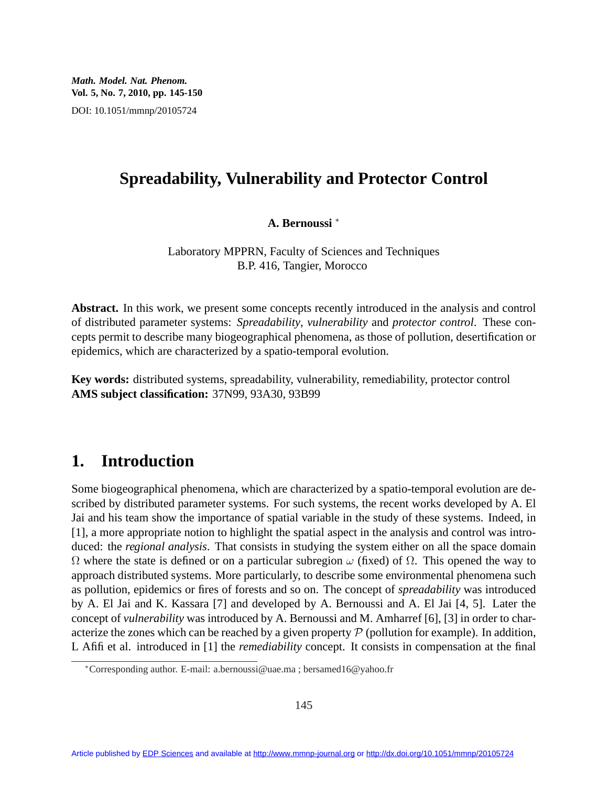*Math. Model. Nat. Phenom.* **Vol. 5, No. 7, 2010, pp. 145-150** DOI: 10.1051/mmnp/20105724

### **Spreadability, Vulnerability and Protector Control**

**A. Bernoussi** <sup>∗</sup>

Laboratory MPPRN, Faculty of Sciences and Techniques B.P. 416, Tangier, Morocco

**Abstract.** In this work, we present some concepts recently introduced in the analysis and control of distributed parameter systems: *Spreadability*, *vulnerability* and *protector control*. These concepts permit to describe many biogeographical phenomena, as those of pollution, desertification or epidemics, which are characterized by a spatio-temporal evolution.

**Key words:** distributed systems, spreadability, vulnerability, remediability, protector control **AMS subject classification:** 37N99, 93A30, 93B99

## **1. Introduction**

Some biogeographical phenomena, which are characterized by a spatio-temporal evolution are described by distributed parameter systems. For such systems, the recent works developed by A. El Jai and his team show the importance of spatial variable in the study of these systems. Indeed, in [1], a more appropriate notion to highlight the spatial aspect in the analysis and control was introduced: the *regional analysis*. That consists in studying the system either on all the space domain  $Ω$  where the state is defined or on a particular subregion  $ω$  (fixed) of  $Ω$ . This opened the way to approach distributed systems. More particularly, to describe some environmental phenomena such as pollution, epidemics or fires of forests and so on. The concept of *spreadability* was introduced by A. El Jai and K. Kassara [7] and developed by A. Bernoussi and A. El Jai [4, 5]. Later the concept of *vulnerability* was introduced by A. Bernoussi and M. Amharref [6], [3] in order to characterize the zones which can be reached by a given property  $P$  (pollution for example). In addition, L Afifi et al. introduced in [1] the *remediability* concept. It consists in compensation at the final

<sup>∗</sup>Corresponding author. E-mail: a.bernoussi@uae.ma ; bersamed16@yahoo.fr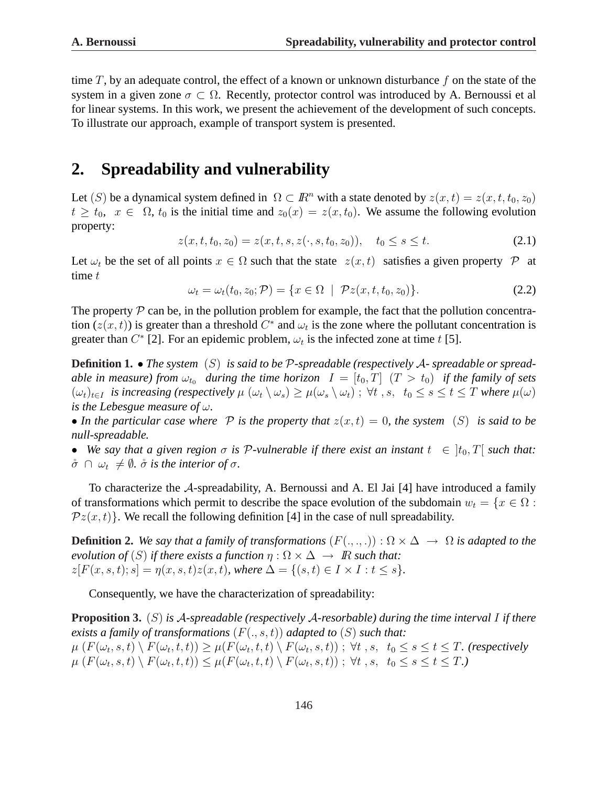time T, by an adequate control, the effect of a known or unknown disturbance f on the state of the system in a given zone  $\sigma \subset \Omega$ . Recently, protector control was introduced by A. Bernoussi et al for linear systems. In this work, we present the achievement of the development of such concepts. To illustrate our approach, example of transport system is presented.

# **2. Spreadability and vulnerability**

Let (S) be a dynamical system defined in  $\Omega \subset \mathbb{R}^n$  with a state denoted by  $z(x, t) = z(x, t, t_0, z_0)$  $t \ge t_0$ ,  $x \in \Omega$ ,  $t_0$  is the initial time and  $z_0(x) = z(x, t_0)$ . We assume the following evolution property:

$$
z(x, t, t_0, z_0) = z(x, t, s, z(\cdot, s, t_0, z_0)), \quad t_0 \le s \le t.
$$
\n(2.1)

Let  $\omega_t$  be the set of all points  $x \in \Omega$  such that the state  $z(x, t)$  satisfies a given property  $\mathcal P$  at time  $t$ 

$$
\omega_t = \omega_t(t_0, z_0; \mathcal{P}) = \{ x \in \Omega \mid \mathcal{P}z(x, t, t_0, z_0) \}.
$$
 (2.2)

The property  $P$  can be, in the pollution problem for example, the fact that the pollution concentration  $(z(x, t))$  is greater than a threshold  $C^*$  and  $\omega_t$  is the zone where the pollutant concentration is greater than  $C^*$  [2]. For an epidemic problem,  $\omega_t$  is the infected zone at time t [5].

**Definition 1.** • *The system* (S) *is said to be* P*-spreadable (respectively* A*- spreadable or spreadable in measure) from*  $\omega_{t_0}$  *during the time horizon*  $I = [t_0, T]$   $(T > t_0)$  *if the family of sets*  $(\omega_t)_{t\in I}$  *is increasing (respectively*  $\mu$   $(\omega_t \setminus \omega_s) \geq \mu(\omega_s \setminus \omega_t)$ ;  $\forall t$ , s,  $t_0 \leq s \leq t \leq T$  *where*  $\mu(\omega)$ *is the Lebesgue measure of* ω*.*

• In the particular case where  $P$  is the property that  $z(x,t) = 0$ , the system  $(S)$  is said to be *null-spreadable.*

• We say that a given region  $\sigma$  is  $\mathcal P$ -vulnerable if there exist an instant  $t \in [t_0, T]$  such that:  $\mathring{\sigma} \cap \omega_t \neq \emptyset$ *.*  $\mathring{\sigma}$  *is the interior of*  $\sigma$ *.* 

To characterize the A-spreadability, A. Bernoussi and A. El Jai [4] have introduced a family of transformations which permit to describe the space evolution of the subdomain  $w_t = \{x \in \Omega :$  $\mathcal{P}z(x,t)$ . We recall the following definition [4] in the case of null spreadability.

**Definition 2.** *We say that a family of transformations*  $(F(.,.,.)) : \Omega \times \Delta \rightarrow \Omega$  *is adapted to the evolution of*  $(S)$  *if there exists a function*  $\eta : \Omega \times \Delta \rightarrow \mathbb{R}$  *such that:*  $z[F(x, s, t); s] = \eta(x, s, t)z(x, t)$ *, where*  $\Delta = \{(s, t) \in I \times I : t \leq s\}.$ 

Consequently, we have the characterization of spreadability:

**Proposition 3.** (S) *is* A*-spreadable (respectively* A*-resorbable) during the time interval* I *if there exists a family of transformations*  $(F(., s, t))$  *adapted to*  $(S)$  *such that:*  $\mu\left(F(\omega_t,s,t)\setminus F(\omega_t,t,t)\right)\geq\mu(F(\omega_t,t,t)\setminus F(\omega_t,s,t))\;;\;\forall t\;,s,\;\;t_0\leq s\leq t\leq T.$  (respectively  $\mu\left(F(\omega_t,s,t)\setminus F(\omega_t,t,t)\right)\leq \mu\left(F(\omega_t,t,t)\setminus F(\omega_t,s,t)\right); \ \forall t \ ,s, \ \ t_0\leq s\leq t\leq T.$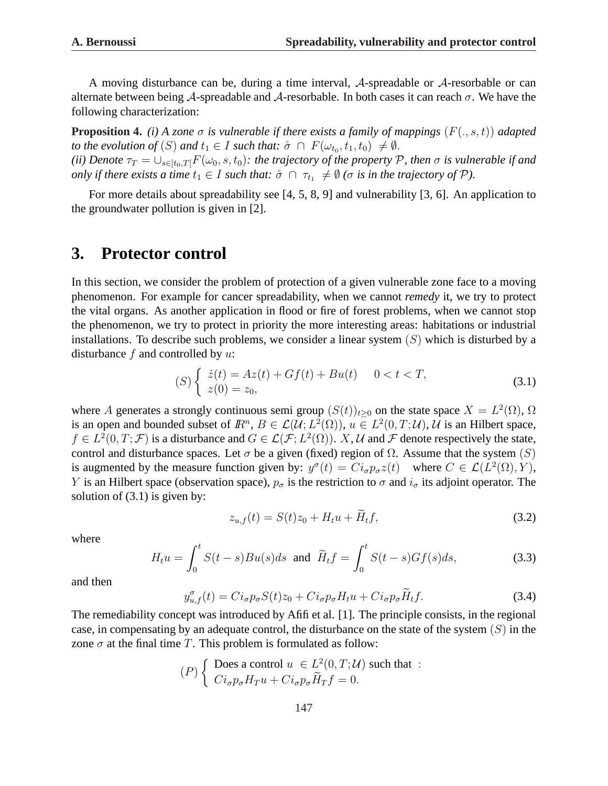A moving disturbance can be, during a time interval, A-spreadable or A-resorbable or can alternate between being A-spreadable and A-resorbable. In both cases it can reach  $\sigma$ . We have the following characterization:

**Proposition 4.** *(i) A zone*  $\sigma$  *is vulnerable if there exists a family of mappings*  $(F(., s, t))$  *adapted to the evolution of*  $(S)$  *and*  $t_1 \in I$  *such that:*  $\overset{\circ}{\sigma} \cap F(\omega_{t_0}, t_1, t_0) \neq \emptyset$ . *(ii) Denote*  $\tau_T = \bigcup_{s \in [t_0,T]} F(\omega_0, s, t_0)$ : the trajectory of the property P, then  $\sigma$  *is vulnerable if and only if there exists a time*  $t_1 \in I$  *such that:*  $\overset{\circ}{\sigma} \cap \tau_{t_1} \neq \emptyset$  ( $\sigma$  *is in the trajectory of*  $\mathcal{P}$ *).* 

For more details about spreadability see [4, 5, 8, 9] and vulnerability [3, 6]. An application to the groundwater pollution is given in [2].

## **3. Protector control**

In this section, we consider the problem of protection of a given vulnerable zone face to a moving phenomenon. For example for cancer spreadability, when we cannot *remedy* it, we try to protect the vital organs. As another application in flood or fire of forest problems, when we cannot stop the phenomenon, we try to protect in priority the more interesting areas: habitations or industrial installations. To describe such problems, we consider a linear system  $(S)$  which is disturbed by a disturbance  $f$  and controlled by  $u$ :

$$
(S)\begin{cases} \dot{z}(t) = Az(t) + Gf(t) + Bu(t) & 0 < t < T, \\ z(0) = z_0, \end{cases}
$$
\n(3.1)

where A generates a strongly continuous semi group  $(S(t))_{t\geq0}$  on the state space  $X = L^2(\Omega)$ ,  $\Omega$ is an open and bounded subset of  $\mathbb{R}^n$ ,  $B \in \mathcal{L}(\mathcal{U}; L^2(\Omega))$ ,  $u \in L^2(0,T; \mathcal{U})$ ,  $\mathcal{U}$  is an Hilbert space,  $f \in L^2(0,T; \mathcal{F})$  is a disturbance and  $G \in \mathcal{L}(\mathcal{F}; L^2(\Omega))$ . X, U and F denote respectively the state, control and disturbance spaces. Let  $\sigma$  be a given (fixed) region of  $\Omega$ . Assume that the system (S) is augmented by the measure function given by:  $y^{\sigma}(t) = Ci_{\sigma}p_{\sigma}z(t)$  where  $C \in \mathcal{L}(L^2(\Omega), Y)$ , Y is an Hilbert space (observation space),  $p_{\sigma}$  is the restriction to  $\sigma$  and  $i_{\sigma}$  its adjoint operator. The solution of  $(3.1)$  is given by:

$$
z_{u,f}(t) = S(t)z_0 + H_t u + \widetilde{H}_t f,\tag{3.2}
$$

where

$$
H_t u = \int_0^t S(t-s)Bu(s)ds \text{ and } \widetilde{H}_t f = \int_0^t S(t-s)Gf(s)ds,
$$
 (3.3)

and then

$$
y_{u,f}^{\sigma}(t) = Ci_{\sigma}p_{\sigma}S(t)z_0 + Ci_{\sigma}p_{\sigma}H_t u + Ci_{\sigma}p_{\sigma}\widetilde{H}_t f.
$$
\n(3.4)

The remediability concept was introduced by Afifi et al. [1]. The principle consists, in the regional case, in compensating by an adequate control, the disturbance on the state of the system  $(S)$  in the zone  $\sigma$  at the final time T. This problem is formulated as follow:

$$
(P)\left\{\begin{array}{l}\text{Does a control } u \in L^2(0,T;\mathcal{U}) \text{ such that :} \\ Ci_{\sigma}p_{\sigma}H_T u + Ci_{\sigma}p_{\sigma}\widetilde{H}_T f = 0.\end{array}\right.
$$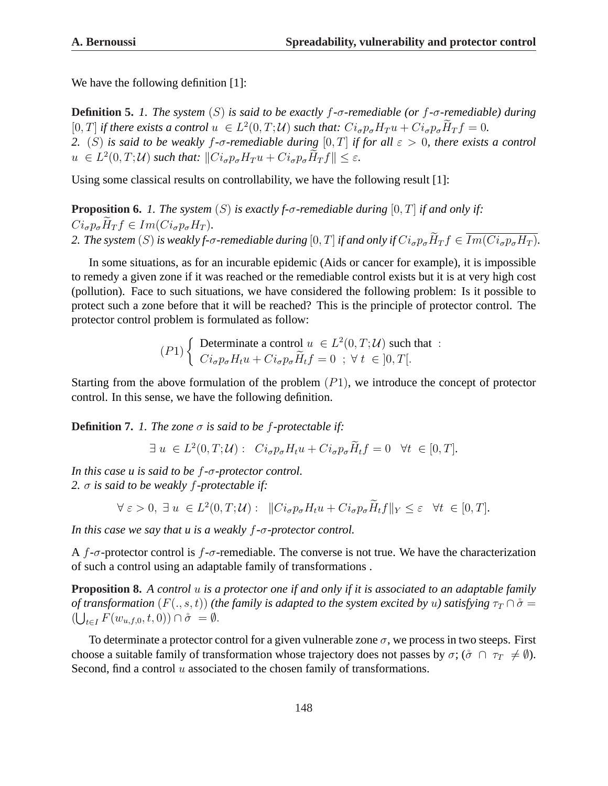We have the following definition [1]:

**Definition 5.** *1. The system* (S) *is said to be exactly* f*-*σ*-remediable (or* f*-*σ*-remediable) during*  $[0,T]$  *if there exists a control*  $u \in L^2(0,T;\mathcal{U})$  *such that:*  $Ci_{\sigma}p_{\sigma}H_T u + Ci_{\sigma}p_{\sigma}\widetilde{H}_T f = 0$ . *2.* (*S*) *is said to be weakly f-* $\sigma$ *-remediable during* [0, *T*] *if for all*  $\varepsilon > 0$ *, there exists a control*  $u \in L^2(0,T;\mathcal{U})$  such that:  $||Ci_{\sigma}p_{\sigma}H_T u + Ci_{\sigma}p_{\sigma}\widetilde{H}_Tf|| \leq \varepsilon$ .

Using some classical results on controllability, we have the following result [1]:

**Proposition 6.** *1. The system* (S) *is exactly f-σ-remediable during* [0, T] *if and only if:*  $Ci_{\sigma}p_{\sigma}\tilde{H}_{T}f \in Im(Ci_{\sigma}p_{\sigma}H_{T}).$ *2. The system* (S) *is weakly f-σ-remediable during* [0, T] *if and only if*  $Ci_{\sigma}p_{\sigma}\widetilde{H}_{T}f \in \overline{Im(Ci_{\sigma}p_{\sigma}H_{T})}$ *.* 

In some situations, as for an incurable epidemic (Aids or cancer for example), it is impossible to remedy a given zone if it was reached or the remediable control exists but it is at very high cost (pollution). Face to such situations, we have considered the following problem: Is it possible to protect such a zone before that it will be reached? This is the principle of protector control. The protector control problem is formulated as follow:

$$
(P1)\left\{\begin{array}{l}\text{Determine a control } u \in L^{2}(0,T;\mathcal{U}) \text{ such that :} \\ Ci_{\sigma}p_{\sigma}H_{t}u + Ci_{\sigma}p_{\sigma}\widetilde{H}_{t}f = 0 \quad ; \ \forall \ t \in ]0,T[.\end{array}\right.
$$

Starting from the above formulation of the problem  $(P1)$ , we introduce the concept of protector control. In this sense, we have the following definition.

**Definition 7.** *1. The zone* σ *is said to be* f*-protectable if:*

$$
\exists u \in L^2(0,T;\mathcal{U}): C i_\sigma p_\sigma H_t u + C i_\sigma p_\sigma \widetilde{H}_t f = 0 \quad \forall t \in [0,T].
$$

*In this case u is said to be* f*-*σ*-protector control. 2.* σ *is said to be weakly* f*-protectable if:*

$$
\forall \varepsilon > 0, \ \exists \ u \ \in L^2(0, T; \mathcal{U}): \ \ \| Ci_{\sigma} p_{\sigma} H_t u + Ci_{\sigma} p_{\sigma} \widetilde{H}_t f\|_Y \leq \varepsilon \ \ \forall t \ \in [0, T].
$$

*In this case we say that u is a weakly* f*-*σ*-protector control.*

A f- $\sigma$ -protector control is f- $\sigma$ -remediable. The converse is not true. We have the characterization of such a control using an adaptable family of transformations .

**Proposition 8.** *A control* u *is a protector one if and only if it is associated to an adaptable family of transformation*  $(F(., s, t))$  *(the family is adapted to the system excited by u) satisfying*  $\tau_T \cap \mathring{\sigma} =$  $\left(\bigcup_{t\in I} F(w_{u,f,0},t,0)\right)\cap \mathring{\sigma} = \emptyset.$ 

To determinate a protector control for a given vulnerable zone  $\sigma$ , we process in two steeps. First choose a suitable family of transformation whose trajectory does not passes by  $\sigma$ ; ( $\sigma \cap \tau_T \neq \emptyset$ ). Second, find a control  $u$  associated to the chosen family of transformations.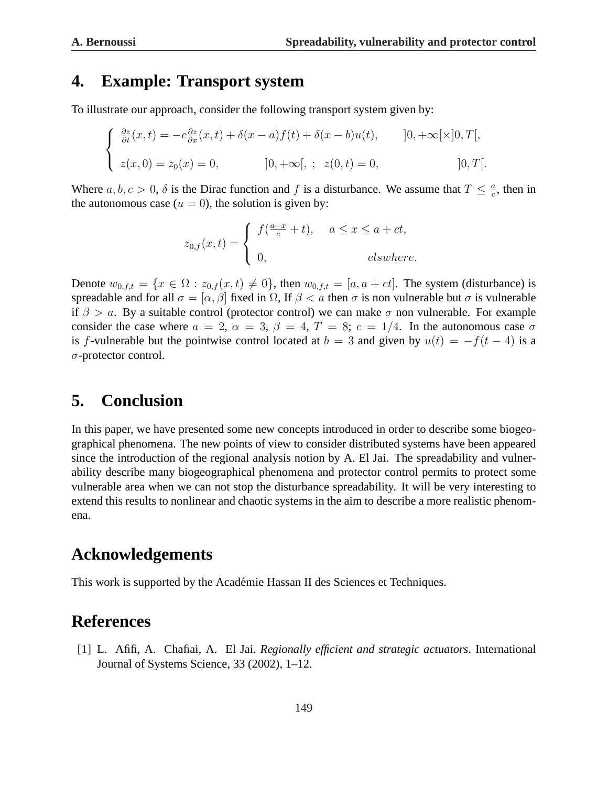#### **4. Example: Transport system**

To illustrate our approach, consider the following transport system given by:

$$
\begin{cases}\n\frac{\partial z}{\partial t}(x,t) = -c \frac{\partial z}{\partial x}(x,t) + \delta(x-a)f(t) + \delta(x-b)u(t), & |0, +\infty[\times]0, T[, \\
z(x,0) = z_0(x) = 0, & |0, +\infty[, \quad z(0,t) = 0, & |0, T[.\n\end{cases}
$$

Where  $a, b, c > 0$ ,  $\delta$  is the Dirac function and f is a disturbance. We assume that  $T \leq \frac{a}{c}$  $\frac{a}{c}$ , then in the autonomous case  $(u = 0)$ , the solution is given by:

$$
z_{0,f}(x,t) = \begin{cases} f(\frac{a-x}{c} + t), & a \le x \le a + ct, \\ 0, & elsewhere. \end{cases}
$$

Denote  $w_{0,f,t} = \{x \in \Omega : z_{0,f}(x,t) \neq 0\}$ , then  $w_{0,f,t} = [a, a + ct]$ . The system (disturbance) is spreadable and for all  $\sigma = [\alpha, \beta]$  fixed in  $\Omega$ , If  $\beta < a$  then  $\sigma$  is non vulnerable but  $\sigma$  is vulnerable if  $\beta > a$ . By a suitable control (protector control) we can make  $\sigma$  non vulnerable. For example consider the case where  $a = 2$ ,  $\alpha = 3$ ,  $\beta = 4$ ,  $T = 8$ ;  $c = 1/4$ . In the autonomous case  $\sigma$ is f-vulnerable but the pointwise control located at  $b = 3$  and given by  $u(t) = -f(t - 4)$  is a σ-protector control.

### **5. Conclusion**

In this paper, we have presented some new concepts introduced in order to describe some biogeographical phenomena. The new points of view to consider distributed systems have been appeared since the introduction of the regional analysis notion by A. El Jai. The spreadability and vulnerability describe many biogeographical phenomena and protector control permits to protect some vulnerable area when we can not stop the disturbance spreadability. It will be very interesting to extend this results to nonlinear and chaotic systems in the aim to describe a more realistic phenomena.

#### **Acknowledgements**

This work is supported by the Academie Hassan II des Sciences et Techniques. ´

# **References**

[1] L. Afifi, A. Chafiai, A. El Jai. *Regionally efficient and strategic actuators*. International Journal of Systems Science, 33 (2002), 1–12.